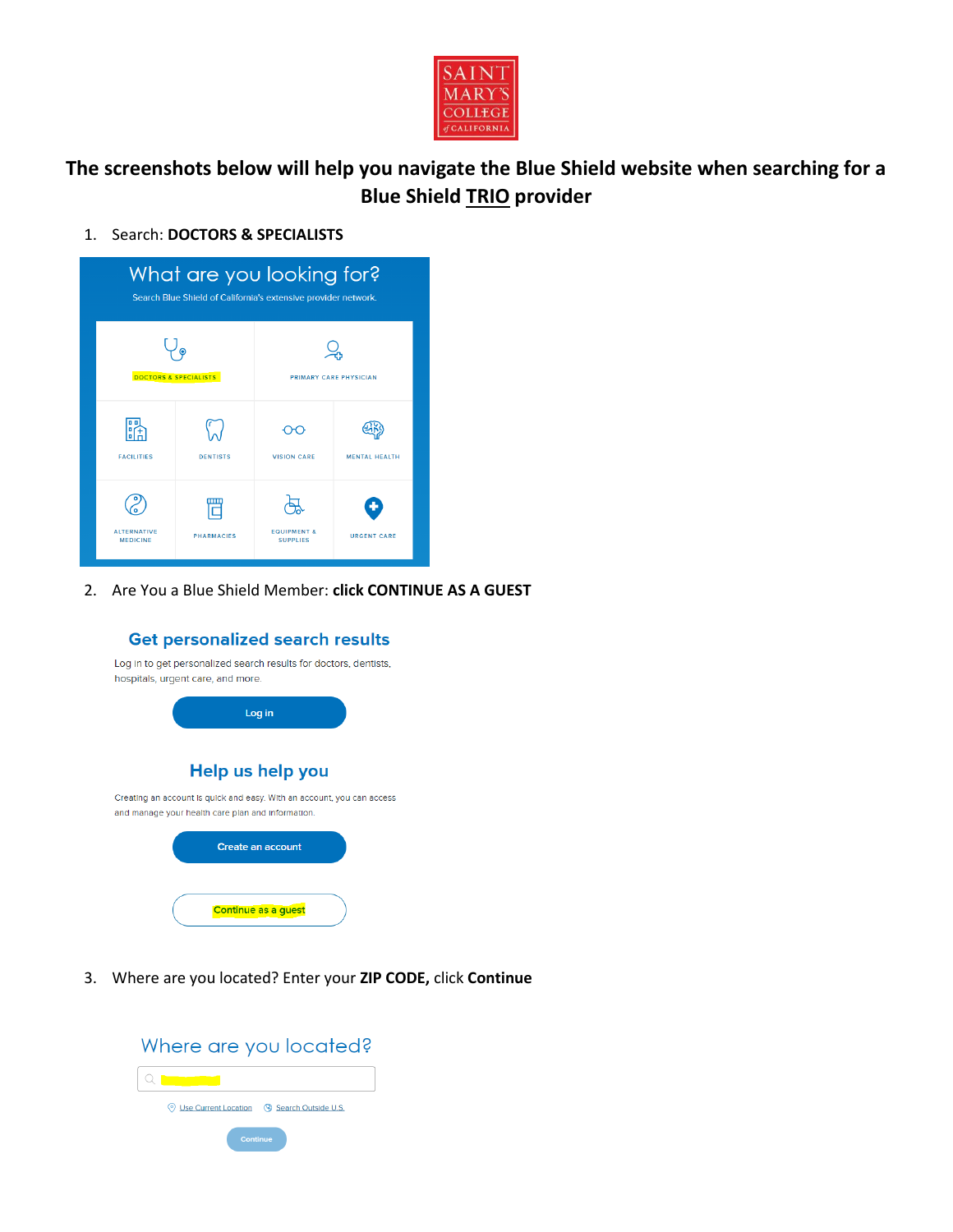

## **The screenshots below will help you navigate the Blue Shield website when searching for a Blue Shield TRIO provider**

## 1. Search: **DOCTORS & SPECIALISTS**



2. Are You a Blue Shield Member: **click CONTINUE AS A GUEST**



3. Where are you located? Enter your **ZIP CODE,** click **Continue**

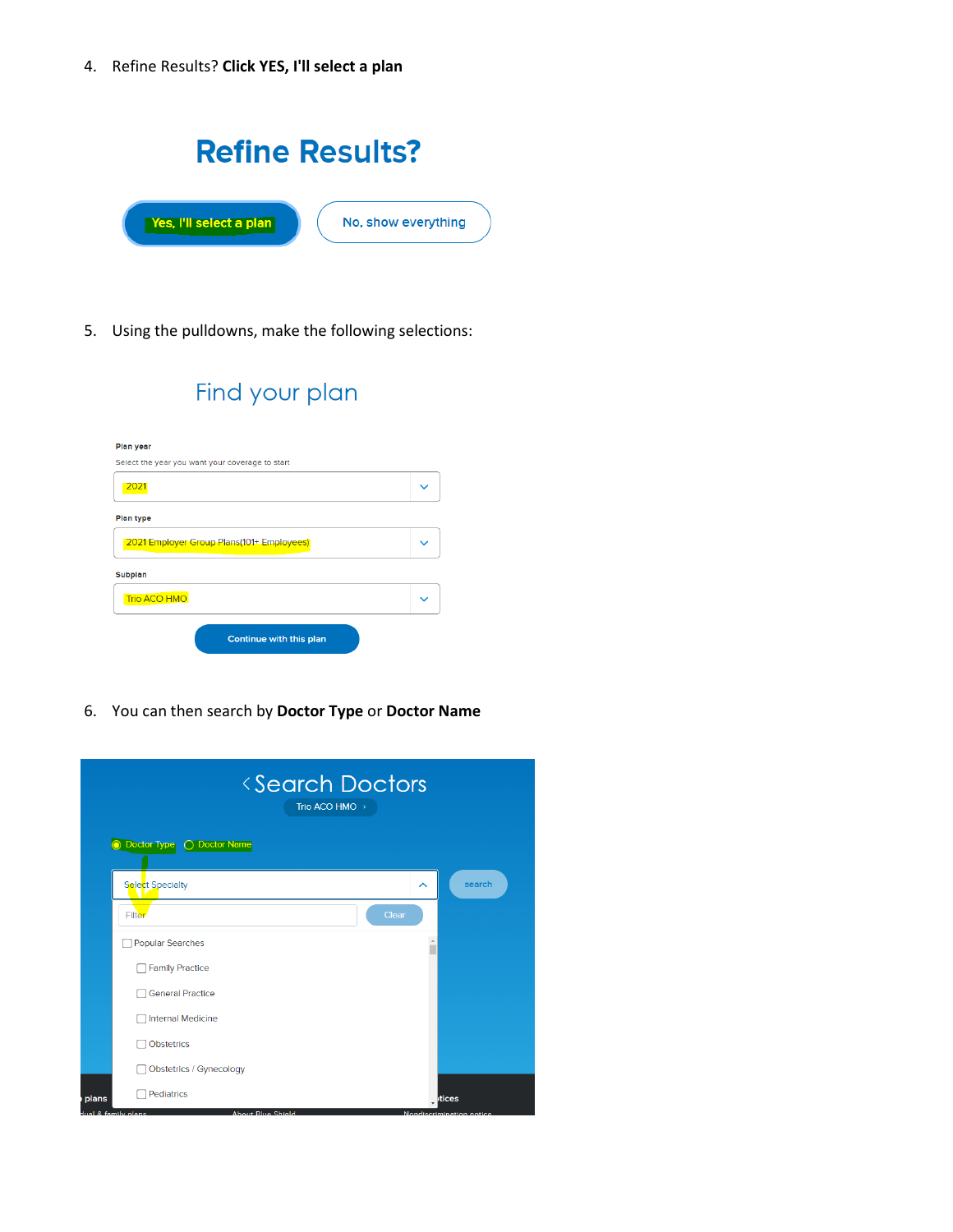4. Refine Results? **Click YES, I'll select a plan**

|                         | <b>Refine Results?</b> |
|-------------------------|------------------------|
| Yes, I'll select a plan | No, show everything    |

5. Using the pulldowns, make the following selections:

| Find your plan                                  |  |
|-------------------------------------------------|--|
| Plan year                                       |  |
| Select the year you want your coverage to start |  |
| 2021                                            |  |
| <b>Plan type</b>                                |  |
| 2021 Employer Group Plans(101+ Employees)       |  |
| <b>Subplan</b>                                  |  |
| <b>Trio ACO HMO</b>                             |  |
| Continue with this plan                         |  |

6. You can then search by **Doctor Type** or **Doctor Name**

| <search doctors<br="">Trio ACO HMO &gt;</search>                       |                                    |
|------------------------------------------------------------------------|------------------------------------|
| O Doctor Type<br><b>Doctor Name</b>                                    |                                    |
| Select Specialty                                                       | search<br>ㅅ                        |
| Filter                                                                 | Clear                              |
| <b>Popular Searches</b>                                                | A                                  |
| <b>Family Practice</b>                                                 |                                    |
| <b>General Practice</b>                                                |                                    |
| <b>Internal Medicine</b>                                               |                                    |
| <b>Obstetrics</b>                                                      |                                    |
| Obstetrics / Gynecology                                                |                                    |
| <b>Pediatrics</b><br>plans<br>dual & family plans<br>About Blue Shield | htices<br>Nondiscrimination notice |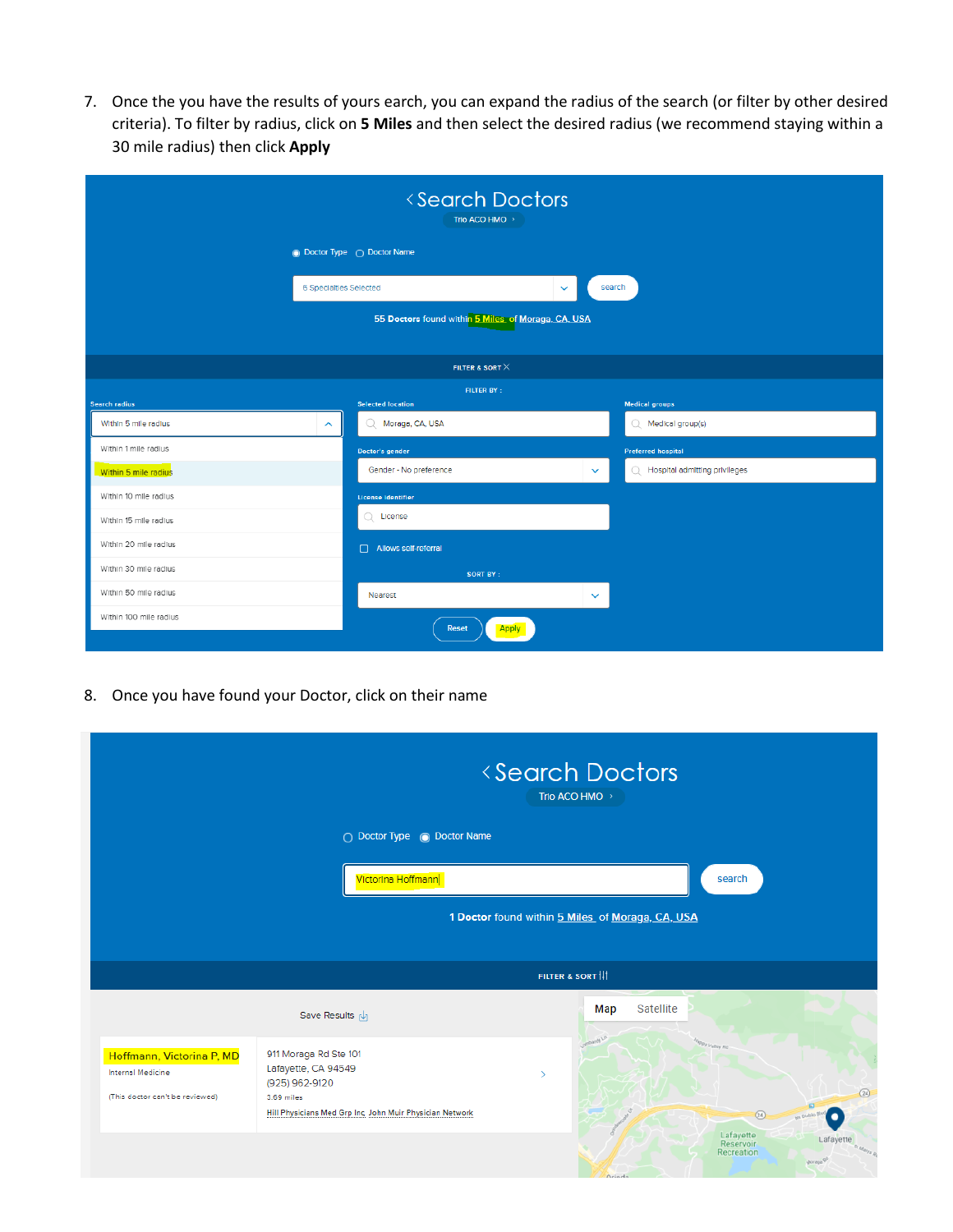7. Once the you have the results of yours earch, you can expand the radius of the search (or filter by other desired criteria). To filter by radius, click on **5 Miles** and then select the desired radius (we recommend staying within a 30 mile radius) then click **Apply**

| <search doctors<br="">Trio ACO HMO &gt;</search> |                                                  |                                                    |              |                                     |  |
|--------------------------------------------------|--------------------------------------------------|----------------------------------------------------|--------------|-------------------------------------|--|
|                                                  | <b>O</b> Doctor Type ○ Doctor Name               |                                                    |              |                                     |  |
|                                                  | 6 Specialties Selected<br>search<br>$\checkmark$ |                                                    |              |                                     |  |
|                                                  |                                                  | 55 Doctors found within 5 Miles of Moraga, CA, USA |              |                                     |  |
|                                                  |                                                  | FILTER & SORT $\times$                             |              |                                     |  |
| <b>FILTER BY:</b>                                |                                                  |                                                    |              |                                     |  |
| Search radius                                    |                                                  | <b>Selected location</b>                           |              | <b>Medical groups</b>               |  |
| Within 5 mile radius                             | $\sim$                                           | Q Moraga, CA, USA                                  |              | $Q$ Medical group(s)                |  |
| Within 1 mile radius                             |                                                  | <b>Doctor's gender</b>                             |              | <b>Preferred hospital</b>           |  |
| Within 5 mile radius                             |                                                  | Gender - No preference                             | $\checkmark$ | Hospital admitting privileges<br>Ω. |  |
| Within 10 mile radius                            |                                                  | <b>License identifier</b>                          |              |                                     |  |
| Within 15 mile radius                            |                                                  | License<br>O.                                      |              |                                     |  |
| Within 20 mile radius                            |                                                  | Allows self-referral                               |              |                                     |  |
| Within 30 mile radius                            |                                                  | <b>SORT BY:</b>                                    |              |                                     |  |
| Within 50 mile radius                            |                                                  | Nearest                                            | $\checkmark$ |                                     |  |
| Within 100 mile radius                           |                                                  | <b>Apply</b><br><b>Reset</b>                       |              |                                     |  |

8. Once you have found your Doctor, click on their name

|                                                |                                                                        | <b><search b="" doctors<=""><br/>Trio ACO HMO</search></b>                         |                    |
|------------------------------------------------|------------------------------------------------------------------------|------------------------------------------------------------------------------------|--------------------|
|                                                | ◯ Doctor Type () Doctor Name                                           |                                                                                    |                    |
|                                                | Victorina Hoffmann                                                     | search                                                                             |                    |
|                                                |                                                                        | 1 Doctor found within 5 Miles of Moraga, CA, USA                                   |                    |
|                                                |                                                                        | FILTER & SORT                                                                      |                    |
|                                                | Save Results [J]                                                       | Satellite<br>Map                                                                   |                    |
| Hoffmann, Victorina P, MD<br>Internal Medicine | 911 Moraga Rd Ste 101<br>Lafayette, CA 94549<br>(925) 962-9120         | appy Velley Rd                                                                     | (24)               |
| (This doctor can't be reviewed)                | 3.69 miles<br>Hill Physicians Med Grp Inc, John Muir Physician Network | $\circled{24}$                                                                     |                    |
|                                                |                                                                        | Lafayette<br>Lafayette<br>Reservoir<br>Recreation<br>Joraga <sup>5</sup><br>Orinda | <b>St Marys</b> Rd |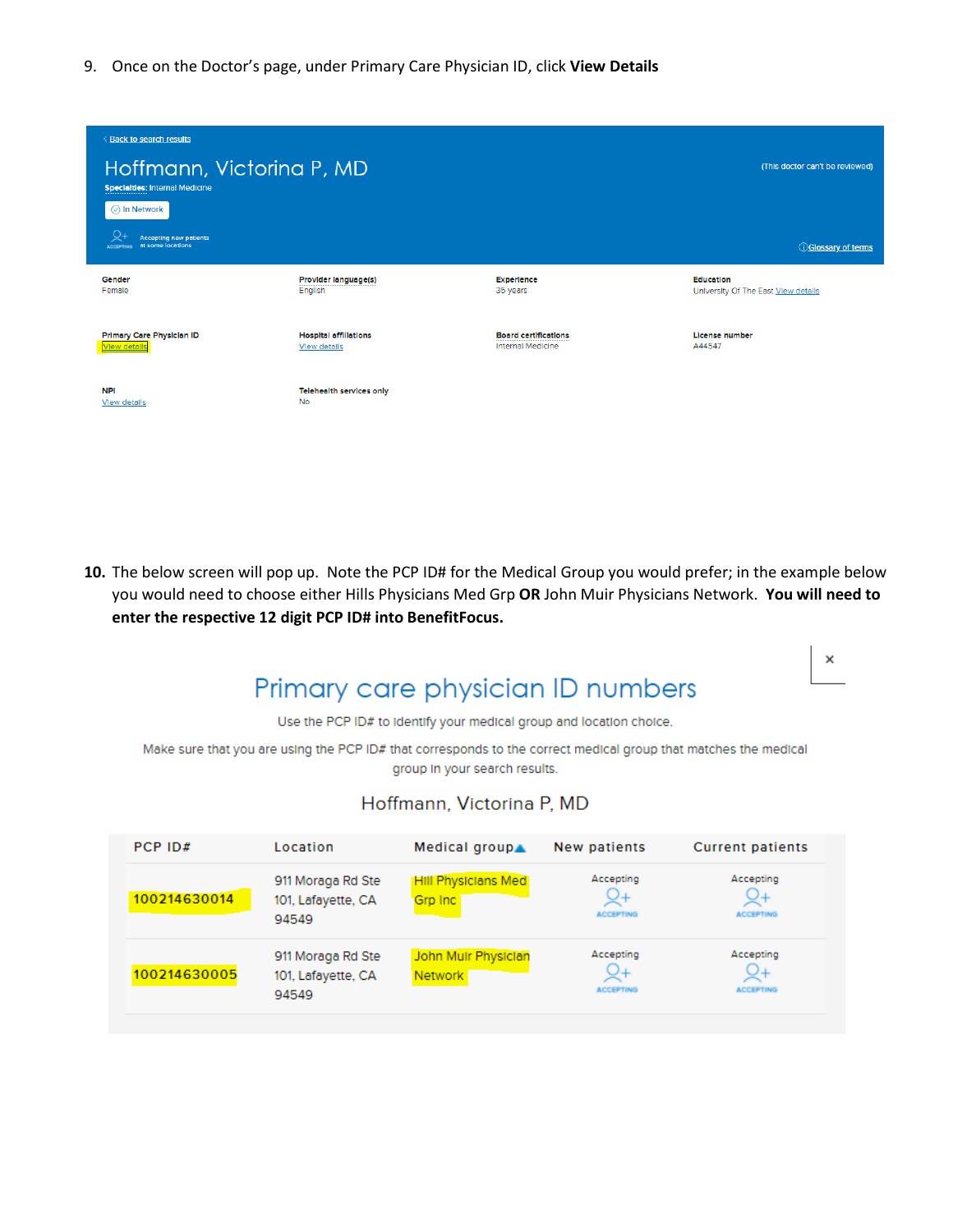9. Once on the Doctor's page, under Primary Care Physician ID, click **View Details**

| < Back to search results<br>Hoffmann, Victorina P, MD<br><b>Specialties: Internal Medicine</b><br>◯ In Network<br><b>Accepting new patients</b><br>at some locations<br><b>ACCEPTING</b> |                                              |                             | (This doctor can't be reviewed)<br><b>OGlossary of terms</b> |
|------------------------------------------------------------------------------------------------------------------------------------------------------------------------------------------|----------------------------------------------|-----------------------------|--------------------------------------------------------------|
| Gender                                                                                                                                                                                   | Provider language(s)                         | <b>Experience</b>           | Education                                                    |
| Female                                                                                                                                                                                   | English                                      | 35 years                    | University Of The East View details                          |
| Primary Care Physician ID                                                                                                                                                                | <b>Hospital affiliations</b>                 | <b>Board certifications</b> | License number                                               |
| <b>View details</b>                                                                                                                                                                      | View details                                 | <b>Internal Medicine</b>    | A44547                                                       |
| <b>NPI</b><br>View details                                                                                                                                                               | <b>Telehealth services only</b><br><b>No</b> |                             |                                                              |

**10.** The below screen will pop up. Note the PCP ID# for the Medical Group you would prefer; in the example below you would need to choose either Hills Physicians Med Grp **OR** John Muir Physicians Network. **You will need to enter the respective 12 digit PCP ID# into BenefitFocus.**

 $\times$ 

## Primary care physician ID numbers

Use the PCP ID# to identify your medical group and location choice.

Make sure that you are using the PCP ID# that corresponds to the correct medical group that matches the medical group in your search results.

## Hoffmann, Victorina P, MD

| PCP ID#      | Location                                         | Medical group▲                        | New patients                  | <b>Current patients</b>             |
|--------------|--------------------------------------------------|---------------------------------------|-------------------------------|-------------------------------------|
| 100214630014 | 911 Moraga Rd Ste<br>101, Lafayette, CA<br>94549 | <b>Hill Physicians Med</b><br>Grp Inc | Accepting<br><b>ACCEPTING</b> | Accepting<br>ビキ<br><b>ACCEPTING</b> |
| 100214630005 | 911 Moraga Rd Ste<br>101, Lafayette, CA<br>94549 | John Mulr Physician<br><b>Network</b> | Accepting<br><b>ACCEPTING</b> | Accepting<br><b>ACCEPTING</b>       |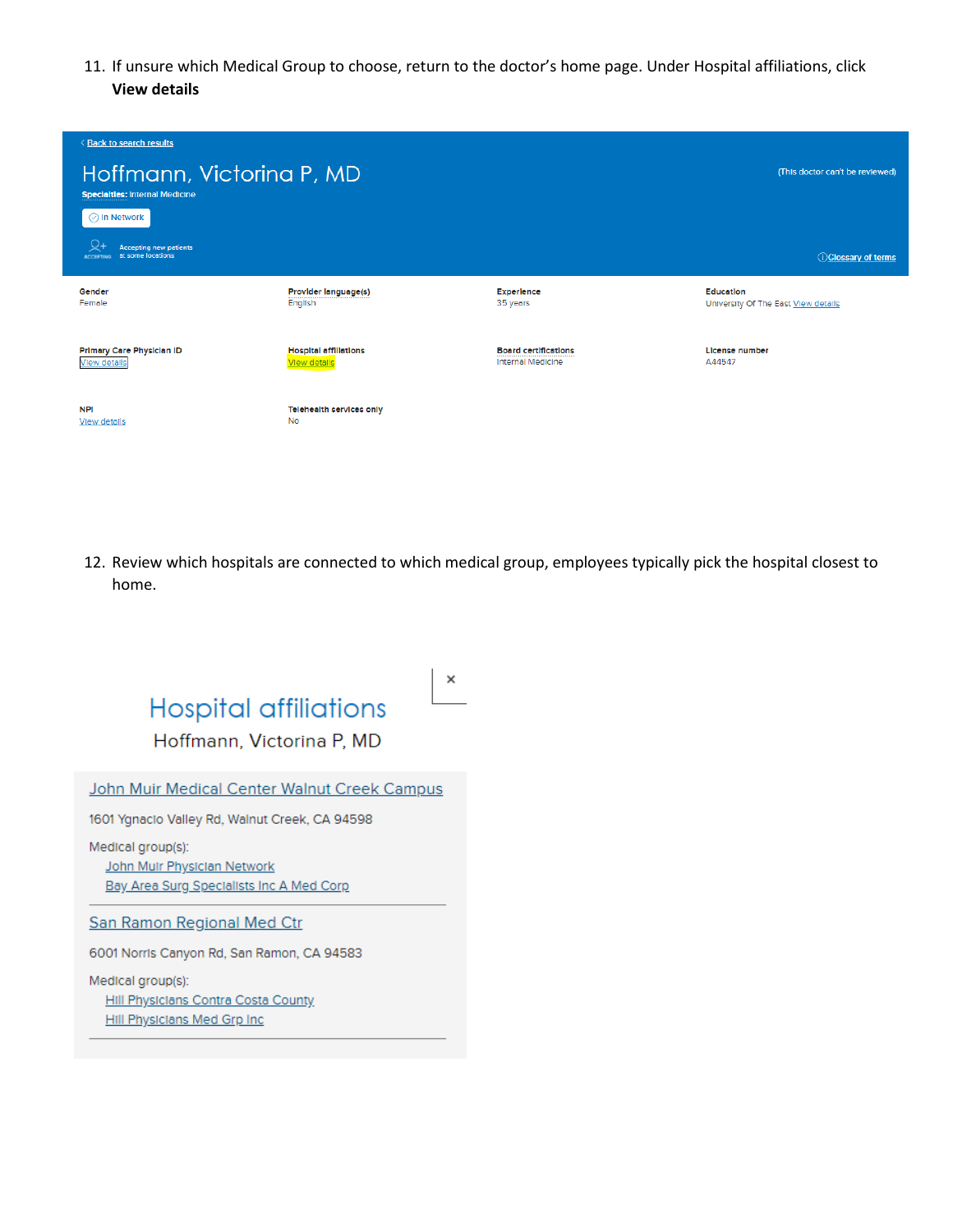11. If unsure which Medical Group to choose, return to the doctor's home page. Under Hospital affiliations, click **View details**

| <b>Back to search results</b>                                          |                                                     |                                                         |                                                         |
|------------------------------------------------------------------------|-----------------------------------------------------|---------------------------------------------------------|---------------------------------------------------------|
| Hoffmann, Victorina P, MD<br><b>Specialties: Internal Medicine</b>     |                                                     |                                                         | (This doctor can't be reviewed)                         |
| $\odot$ In Network                                                     |                                                     |                                                         |                                                         |
| <b>Accepting new patients</b><br>at some locations<br><b>ACCEPTING</b> |                                                     |                                                         | <b>Colossary of terms</b>                               |
| Gender<br>Female                                                       | Provider language(s)<br>English                     | Experience<br>35 years                                  | <b>Education</b><br>University Of The East View details |
| <b>Primary Care Physician ID</b><br><b>View details</b>                | <b>Hospital affiliations</b><br><b>View details</b> | <b>Board certifications</b><br><b>Internal Medicine</b> | <b>License number</b><br>A44547                         |
| <b>NPI</b><br>View details                                             | <b>Telehealth services only</b><br><b>No</b>        |                                                         |                                                         |

12. Review which hospitals are connected to which medical group, employees typically pick the hospital closest to home.



Hill Physicians Contra Costa County Hill Physicians Med Grp Inc